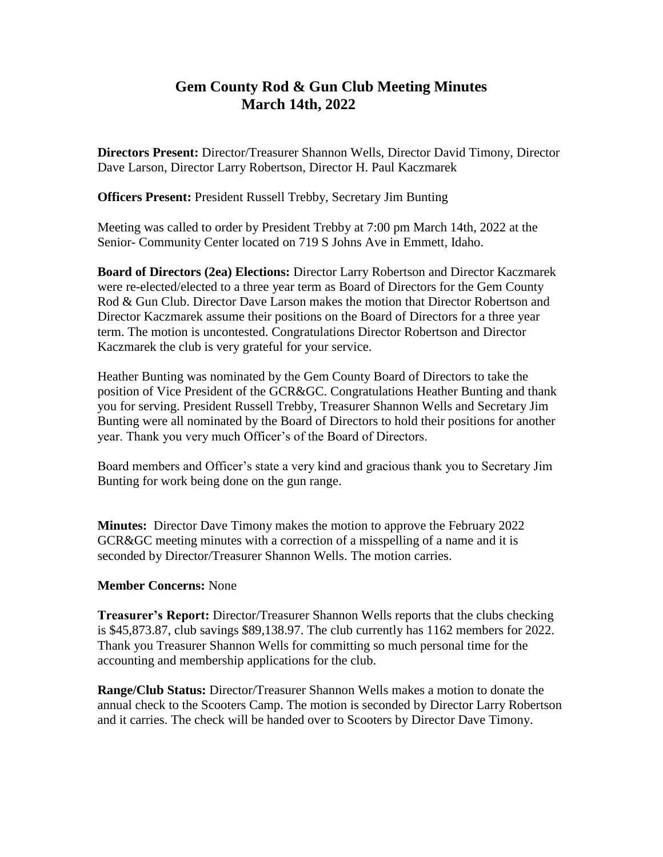## **Gem County Rod & Gun Club Meeting Minutes March 14th, 2022**

**Directors Present:** Director/Treasurer Shannon Wells, Director David Timony, Director Dave Larson, Director Larry Robertson, Director H. Paul Kaczmarek

**Officers Present:** President Russell Trebby, Secretary Jim Bunting

Meeting was called to order by President Trebby at 7:00 pm March 14th, 2022 at the Senior- Community Center located on 719 S Johns Ave in Emmett, Idaho.

**Board of Directors (2ea) Elections:** Director Larry Robertson and Director Kaczmarek were re-elected/elected to a three year term as Board of Directors for the Gem County Rod & Gun Club. Director Dave Larson makes the motion that Director Robertson and Director Kaczmarek assume their positions on the Board of Directors for a three year term. The motion is uncontested. Congratulations Director Robertson and Director Kaczmarek the club is very grateful for your service.

Heather Bunting was nominated by the Gem County Board of Directors to take the position of Vice President of the GCR&GC. Congratulations Heather Bunting and thank you for serving. President Russell Trebby, Treasurer Shannon Wells and Secretary Jim Bunting were all nominated by the Board of Directors to hold their positions for another year. Thank you very much Officer's of the Board of Directors.

Board members and Officer's state a very kind and gracious thank you to Secretary Jim Bunting for work being done on the gun range.

**Minutes:** Director Dave Timony makes the motion to approve the February 2022 GCR&GC meeting minutes with a correction of a misspelling of a name and it is seconded by Director/Treasurer Shannon Wells. The motion carries.

## **Member Concerns:** None

**Treasurer's Report:** Director/Treasurer Shannon Wells reports that the clubs checking is \$45,873.87, club savings \$89,138.97. The club currently has 1162 members for 2022. Thank you Treasurer Shannon Wells for committing so much personal time for the accounting and membership applications for the club.

**Range/Club Status:** Director/Treasurer Shannon Wells makes a motion to donate the annual check to the Scooters Camp. The motion is seconded by Director Larry Robertson and it carries. The check will be handed over to Scooters by Director Dave Timony.